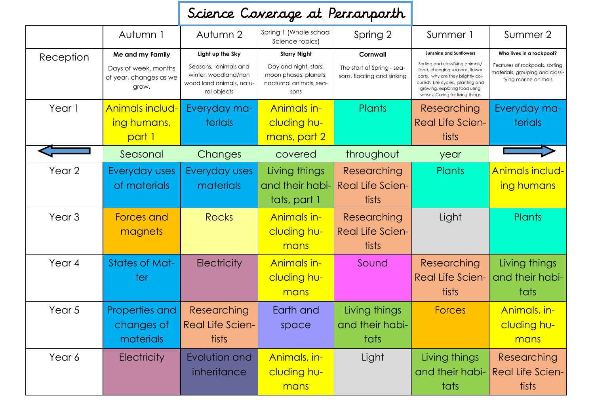## Science Coverage at Perranporth

|                   | Autumn 1                                                                    | Autumn 2                                                                                     | Spring 1 (Whole school<br>Science topics)                                                        | Spring 2                                                             | Summer 1                                                                                                                                                                                                       | Summer 2                                                                                                              |
|-------------------|-----------------------------------------------------------------------------|----------------------------------------------------------------------------------------------|--------------------------------------------------------------------------------------------------|----------------------------------------------------------------------|----------------------------------------------------------------------------------------------------------------------------------------------------------------------------------------------------------------|-----------------------------------------------------------------------------------------------------------------------|
| Reception         | Me and my Family<br>Days of week, months<br>of year, changes as we<br>grow. | Light up the Sky<br>Seasons, animals and<br>winter, woodland/non<br>wood land animals, natu- | <b>Starry Night</b><br>Day and night, stars,<br>moon phases, planets,<br>nocturnal animals, sea- | Cornwall<br>The start of Spring - sea-<br>sons, floating and sinking | <b>Sunshine and Sunflowers</b><br>Sorting and classifying animals/<br>food, changing seasons, flower<br>parts, why are they brightly col-<br>oured? Life cycles, planting and<br>growing, exploring food using | Who lives in a rockpool?<br>Features of rockpools, sorting<br>materials, grouping and classi-<br>fying marine animals |
| Year 1            | Animals includ-<br>ing humans,<br>part 1                                    | ral objects<br>Everyday ma-<br>terials                                                       | sons<br>Animals in-<br>cluding hu-<br>mans, part 2                                               | Plants                                                               | senses, Caring for living things<br>Researching<br><b>Real Life Scien-</b><br>tists                                                                                                                            | Everyday ma-<br>terials                                                                                               |
|                   | Seasonal                                                                    | Changes                                                                                      | covered                                                                                          | throughout                                                           | year                                                                                                                                                                                                           |                                                                                                                       |
| Year 2            | Everyday uses<br>of materials                                               | Everyday uses<br>materials                                                                   | Living things<br>and their habi-<br>tats, part 1                                                 | Researching<br><b>Real Life Scien-</b><br>tists                      | Plants                                                                                                                                                                                                         | Animals includ-<br>ing humans                                                                                         |
| Year <sub>3</sub> | <b>Forces and</b><br>magnets                                                | <b>Rocks</b>                                                                                 | Animals in-<br>cluding hu-<br>mans                                                               | Researching<br><b>Real Life Scien-</b><br>tists                      | Light                                                                                                                                                                                                          | Plants                                                                                                                |
| Year 4            | <b>States of Mat-</b><br>ter                                                | <b>Electricity</b>                                                                           | Animals in-<br>cluding hu-<br>mans                                                               | Sound                                                                | Researching<br><b>Real Life Scien-</b><br>tists                                                                                                                                                                | Living things<br>and their habi-<br>tats                                                                              |
| Year 5            | Properties and<br>changes of<br>materials                                   | Researching<br><b>Real Life Scien-</b><br>tists                                              | Earth and<br>space                                                                               | Living things<br>and their habi-<br>tats                             | <b>Forces</b>                                                                                                                                                                                                  | Animals, in-<br>cluding hu-<br>mans                                                                                   |
| Year 6            | <b>Electricity</b>                                                          | Evolution and<br>inheritance                                                                 | Animals, in-<br>cluding hu-<br>mans                                                              | Light                                                                | Living things<br>and their habi-<br>tats                                                                                                                                                                       | Researching<br><b>Real Life Scien-</b><br>tists                                                                       |